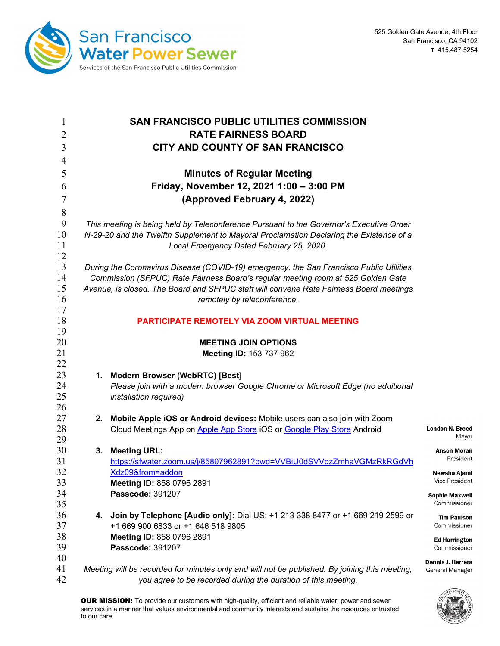

| 1<br>$\overline{2}$ | <b>SAN FRANCISCO PUBLIC UTILITIES COMMISSION</b><br><b>RATE FAIRNESS BOARD</b>                |                                 |  |  |  |
|---------------------|-----------------------------------------------------------------------------------------------|---------------------------------|--|--|--|
| 3                   | CITY AND COUNTY OF SAN FRANCISCO                                                              |                                 |  |  |  |
| 4                   |                                                                                               |                                 |  |  |  |
| 5                   | <b>Minutes of Regular Meeting</b>                                                             |                                 |  |  |  |
| 6                   | Friday, November 12, 2021 1:00 - 3:00 PM                                                      |                                 |  |  |  |
| $\tau$              | (Approved February 4, 2022)                                                                   |                                 |  |  |  |
| 8                   |                                                                                               |                                 |  |  |  |
| 9                   | This meeting is being held by Teleconference Pursuant to the Governor's Executive Order       |                                 |  |  |  |
| 10                  | N-29-20 and the Twelfth Supplement to Mayoral Proclamation Declaring the Existence of a       |                                 |  |  |  |
| 11<br>12            | Local Emergency Dated February 25, 2020.                                                      |                                 |  |  |  |
| 13                  | During the Coronavirus Disease (COVID-19) emergency, the San Francisco Public Utilities       |                                 |  |  |  |
| 14                  | Commission (SFPUC) Rate Fairness Board's regular meeting room at 525 Golden Gate              |                                 |  |  |  |
| 15                  | Avenue, is closed. The Board and SFPUC staff will convene Rate Fairness Board meetings        |                                 |  |  |  |
| 16                  | remotely by teleconference.                                                                   |                                 |  |  |  |
| 17                  |                                                                                               |                                 |  |  |  |
| 18                  | PARTICIPATE REMOTELY VIA ZOOM VIRTUAL MEETING                                                 |                                 |  |  |  |
| 19                  |                                                                                               |                                 |  |  |  |
| 20                  | <b>MEETING JOIN OPTIONS</b>                                                                   |                                 |  |  |  |
| 21<br>22            | Meeting ID: 153 737 962                                                                       |                                 |  |  |  |
| 23                  | 1. Modern Browser (WebRTC) [Best]                                                             |                                 |  |  |  |
| 24                  | Please join with a modern browser Google Chrome or Microsoft Edge (no additional              |                                 |  |  |  |
| 25                  | installation required)                                                                        |                                 |  |  |  |
| 26                  |                                                                                               |                                 |  |  |  |
| 27                  | 2. Mobile Apple iOS or Android devices: Mobile users can also join with Zoom                  |                                 |  |  |  |
| 28                  | Cloud Meetings App on Apple App Store iOS or Google Play Store Android                        | <b>London N. Breed</b><br>Mayor |  |  |  |
| 29                  |                                                                                               |                                 |  |  |  |
| 30                  | <b>Meeting URL:</b><br>3.                                                                     | <b>Anson Moran</b><br>President |  |  |  |
| 31<br>32            | https://sfwater.zoom.us/j/85807962891?pwd=VVBiU0dSVVpzZmhaVGMzRkRGdVh<br>Xdz09&from=addon     |                                 |  |  |  |
| 33                  | Meeting ID: 858 0796 2891                                                                     | Newsha Ajami<br>Vice President  |  |  |  |
| 34                  | <b>Passcode: 391207</b>                                                                       | <b>Sophie Maxwell</b>           |  |  |  |
| 35                  |                                                                                               | Commissioner                    |  |  |  |
| 36                  | 4. Join by Telephone [Audio only]: Dial US: +1 213 338 8477 or +1 669 219 2599 or             | <b>Tim Paulson</b>              |  |  |  |
| 37                  | +1 669 900 6833 or +1 646 518 9805                                                            | Commissioner                    |  |  |  |
| 38                  | Meeting ID: 858 0796 2891                                                                     | <b>Ed Harrington</b>            |  |  |  |
| 39                  | <b>Passcode: 391207</b>                                                                       | Commissioner                    |  |  |  |
| 40                  |                                                                                               | Dennis J. Herrera               |  |  |  |
| 41<br>42            | Meeting will be recorded for minutes only and will not be published. By joining this meeting, | General Manager                 |  |  |  |
|                     | you agree to be recorded during the duration of this meeting.                                 |                                 |  |  |  |

OUR MISSION: To provide our customers with high-quality, efficient and reliable water, power and sewer services in a manner that values environmental and community interests and sustains the resources entrusted to our care.

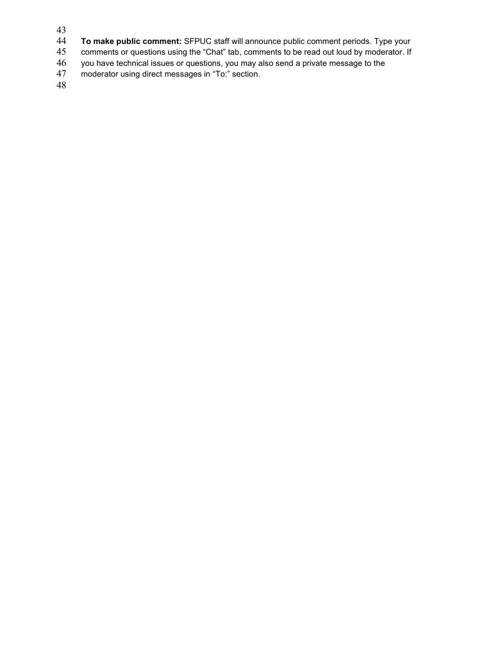- 43
- **To make public comment:** SFPUC staff will announce public comment periods. Type your 45 comments or questions using the "Chat" tab, comments to be read out loud by moderator. If
- 45 comments or questions using the "Chat" tab, comments to be read out loud by moderator. If<br>46 you have technical issues or questions, you may also send a private message to the
- 46 you have technical issues or questions, you may also send a private message to the moderator using direct messages in "To:" section.
- moderator using direct messages in "To:" section.

48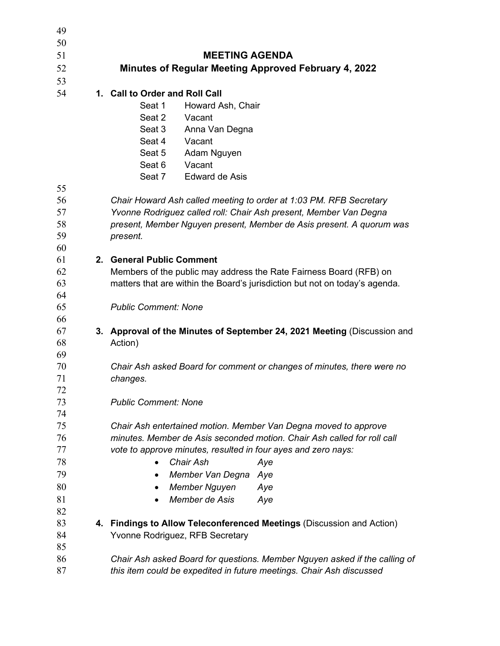| 49       |                                                                                     |  |  |  |  |
|----------|-------------------------------------------------------------------------------------|--|--|--|--|
| 50       |                                                                                     |  |  |  |  |
| 51       | <b>MEETING AGENDA</b>                                                               |  |  |  |  |
| 52       | Minutes of Regular Meeting Approved February 4, 2022                                |  |  |  |  |
| 53       |                                                                                     |  |  |  |  |
| 54       | 1. Call to Order and Roll Call                                                      |  |  |  |  |
|          | Seat 1<br>Howard Ash, Chair                                                         |  |  |  |  |
|          | Vacant<br>Seat 2                                                                    |  |  |  |  |
|          | Seat 3<br>Anna Van Degna                                                            |  |  |  |  |
|          | Seat 4<br>Vacant                                                                    |  |  |  |  |
|          | Seat 5<br>Adam Nguyen                                                               |  |  |  |  |
|          | Vacant<br>Seat 6                                                                    |  |  |  |  |
| 55       | Seat 7<br>Edward de Asis                                                            |  |  |  |  |
| 56       | Chair Howard Ash called meeting to order at 1:03 PM. RFB Secretary                  |  |  |  |  |
| 57       | Yvonne Rodriguez called roll: Chair Ash present, Member Van Degna                   |  |  |  |  |
| 58       | present, Member Nguyen present, Member de Asis present. A quorum was                |  |  |  |  |
| 59       | present.                                                                            |  |  |  |  |
| 60       |                                                                                     |  |  |  |  |
| 61       | 2. General Public Comment                                                           |  |  |  |  |
| 62       | Members of the public may address the Rate Fairness Board (RFB) on                  |  |  |  |  |
| 63       | matters that are within the Board's jurisdiction but not on today's agenda.         |  |  |  |  |
| 64       |                                                                                     |  |  |  |  |
| 65       | <b>Public Comment: None</b>                                                         |  |  |  |  |
| 66       |                                                                                     |  |  |  |  |
| 67<br>68 | 3. Approval of the Minutes of September 24, 2021 Meeting (Discussion and<br>Action) |  |  |  |  |
| 69       |                                                                                     |  |  |  |  |
| 70       | Chair Ash asked Board for comment or changes of minutes, there were no              |  |  |  |  |
| 71       | changes.                                                                            |  |  |  |  |
| 72       |                                                                                     |  |  |  |  |
| 73       | <b>Public Comment: None</b>                                                         |  |  |  |  |
| 74       |                                                                                     |  |  |  |  |
| 75       | Chair Ash entertained motion. Member Van Degna moved to approve                     |  |  |  |  |
| 76       | minutes. Member de Asis seconded motion. Chair Ash called for roll call             |  |  |  |  |
| 77       | vote to approve minutes, resulted in four ayes and zero nays:                       |  |  |  |  |
| 78       | Chair Ash<br>Aye<br>$\bullet$                                                       |  |  |  |  |
| 79       | Member Van Degna Aye                                                                |  |  |  |  |
| 80       | <b>Member Nguyen</b><br>Aye                                                         |  |  |  |  |
| 81       | Member de Asis<br>Aye                                                               |  |  |  |  |
| 82       |                                                                                     |  |  |  |  |
| 83       | 4. Findings to Allow Teleconferenced Meetings (Discussion and Action)               |  |  |  |  |
| 84       | Yvonne Rodriguez, RFB Secretary                                                     |  |  |  |  |
| 85       |                                                                                     |  |  |  |  |
| 86       | Chair Ash asked Board for questions. Member Nguyen asked if the calling of          |  |  |  |  |
| 87       | this item could be expedited in future meetings. Chair Ash discussed                |  |  |  |  |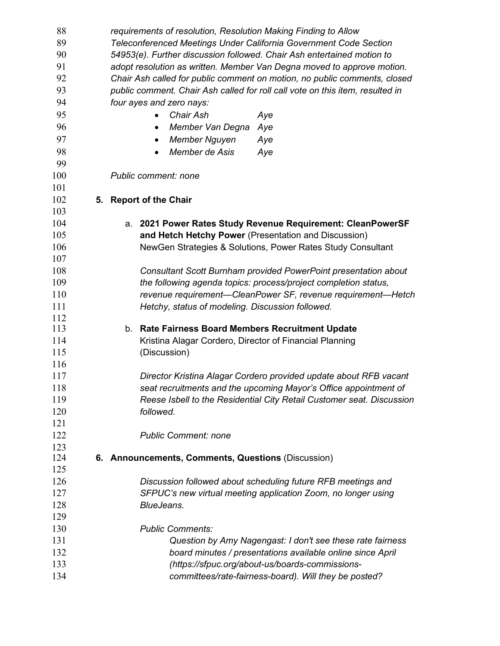| 88         | requirements of resolution, Resolution Making Finding to Allow                |  |  |
|------------|-------------------------------------------------------------------------------|--|--|
| 89         | Teleconferenced Meetings Under California Government Code Section             |  |  |
| 90         | 54953(e). Further discussion followed. Chair Ash entertained motion to        |  |  |
| 91         | adopt resolution as written. Member Van Degna moved to approve motion.        |  |  |
| 92         | Chair Ash called for public comment on motion, no public comments, closed     |  |  |
| 93         | public comment. Chair Ash called for roll call vote on this item, resulted in |  |  |
| 94         | four ayes and zero nays:                                                      |  |  |
| 95         | Chair Ash<br>Aye                                                              |  |  |
| 96         | Member Van Degna<br>Aye<br>$\bullet$                                          |  |  |
| 97         | <b>Member Nguyen</b><br>Aye<br>٠                                              |  |  |
| 98         | Member de Asis                                                                |  |  |
| 99         | Aye                                                                           |  |  |
| 100        |                                                                               |  |  |
|            | Public comment: none                                                          |  |  |
| 101        |                                                                               |  |  |
| 102        | 5. Report of the Chair                                                        |  |  |
| 103        |                                                                               |  |  |
| 104        | a. 2021 Power Rates Study Revenue Requirement: CleanPowerSF                   |  |  |
| 105        | and Hetch Hetchy Power (Presentation and Discussion)                          |  |  |
| 106        | NewGen Strategies & Solutions, Power Rates Study Consultant                   |  |  |
| 107        |                                                                               |  |  |
| 108        | Consultant Scott Burnham provided PowerPoint presentation about               |  |  |
| 109        | the following agenda topics: process/project completion status,               |  |  |
| 110        | revenue requirement—CleanPower SF, revenue requirement—Hetch                  |  |  |
| 111        | Hetchy, status of modeling. Discussion followed.                              |  |  |
| 112<br>113 |                                                                               |  |  |
|            | Rate Fairness Board Members Recruitment Update<br>b.                          |  |  |
| 114<br>115 | Kristina Alagar Cordero, Director of Financial Planning                       |  |  |
|            | (Discussion)                                                                  |  |  |
| 116        |                                                                               |  |  |
| 117        | Director Kristina Alagar Cordero provided update about RFB vacant             |  |  |
| 118        | seat recruitments and the upcoming Mayor's Office appointment of              |  |  |
| 119        | Reese Isbell to the Residential City Retail Customer seat. Discussion         |  |  |
| 120        | followed.                                                                     |  |  |
| 121        |                                                                               |  |  |
| 122        | <b>Public Comment: none</b>                                                   |  |  |
| 123<br>124 | 6. Announcements, Comments, Questions (Discussion)                            |  |  |
| 125        |                                                                               |  |  |
| 126        | Discussion followed about scheduling future RFB meetings and                  |  |  |
| 127        | SFPUC's new virtual meeting application Zoom, no longer using                 |  |  |
|            |                                                                               |  |  |
| 128<br>129 | BlueJeans.                                                                    |  |  |
| 130        | <b>Public Comments:</b>                                                       |  |  |
|            |                                                                               |  |  |
| 131        | Question by Amy Nagengast: I don't see these rate fairness                    |  |  |
| 132        | board minutes / presentations available online since April                    |  |  |
| 133        | (https://sfpuc.org/about-us/boards-commissions-                               |  |  |
| 134        | committees/rate-fairness-board). Will they be posted?                         |  |  |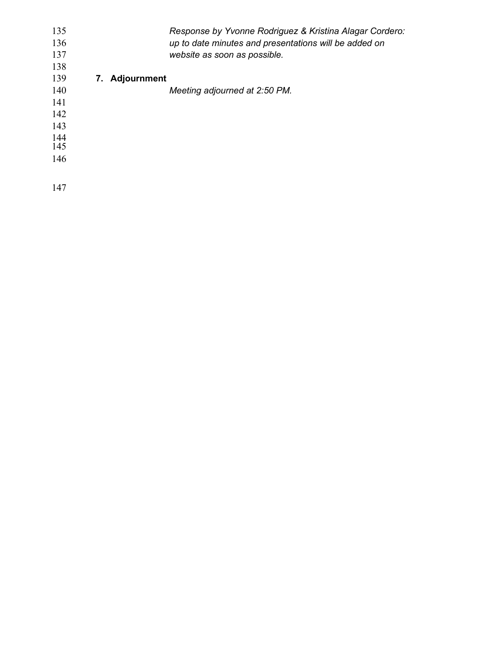| 135 |                | Response by Yvonne Rodriguez & Kristina Alagar Cordero: |
|-----|----------------|---------------------------------------------------------|
| 136 |                | up to date minutes and presentations will be added on   |
| 137 |                | website as soon as possible.                            |
| 138 |                |                                                         |
| 139 | 7. Adjournment |                                                         |
| 140 |                | Meeting adjourned at 2:50 PM.                           |
| 141 |                |                                                         |
| 142 |                |                                                         |
| 143 |                |                                                         |
| 144 |                |                                                         |
| 145 |                |                                                         |
| 146 |                |                                                         |
|     |                |                                                         |
| 147 |                |                                                         |
|     |                |                                                         |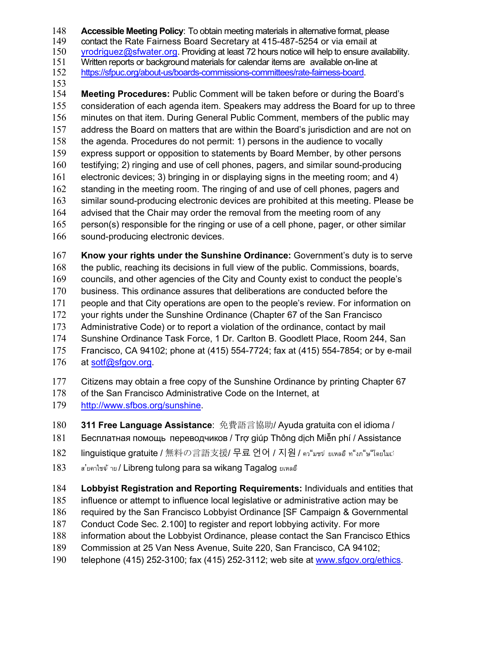148 **Accessible Meeting Policy**: To obtain meeting materials in alternative format, please<br>149 contact the Rate Fairness Board Secretary at 415-487-5254 or via email at

contact the Rate Fairness Board Secretary at 415-487-5254 or via email at

[yrodriguez@sfwater.org.](mailto:yrodriguez@sfwater.org) Providing at least 72 hours notice will help to ensure availability.

151 Written reports or background materials for calendar items are available on-line at 152 https://sfpuc.org/about-us/boards-commissions-committees/rate-fairness-board.

- https://sfpuc.org/about-us/boards-commissions-committees/rate-fairness-board.
- 

153<br>154 **Meeting Procedures:** Public Comment will be taken before or during the Board's consideration of each agenda item. Speakers may address the Board for up to three minutes on that item. During General Public Comment, members of the public may address the Board on matters that are within the Board's jurisdiction and are not on the agenda. Procedures do not permit: 1) persons in the audience to vocally express support or opposition to statements by Board Member, by other persons testifying; 2) ringing and use of cell phones, pagers, and similar sound-producing electronic devices; 3) bringing in or displaying signs in the meeting room; and 4) standing in the meeting room. The ringing of and use of cell phones, pagers and similar sound-producing electronic devices are prohibited at this meeting. Please be advised that the Chair may order the removal from the meeting room of any person(s) responsible for the ringing or use of a cell phone, pager, or other similar sound-producing electronic devices.

**Know your rights under the Sunshine Ordinance:** Government's duty is to serve

the public, reaching its decisions in full view of the public. Commissions, boards,

councils, and other agencies of the City and County exist to conduct the people's

business. This ordinance assures that deliberations are conducted before the

people and that City operations are open to the people's review. For information on

your rights under the Sunshine Ordinance (Chapter 67 of the San Francisco

Administrative Code) or to report a violation of the ordinance, contact by mail

Sunshine Ordinance Task Force, 1 Dr. Carlton B. Goodlett Place, Room 244, San

Francisco, CA 94102; phone at (415) 554-7724; fax at (415) 554-7854; or by e-mail

at [sotf@sfgov.org.](mailto:sotf@sfgov.org)

Citizens may obtain a free copy of the Sunshine Ordinance by printing Chapter 67

178 of the San Francisco Administrative Code on the Internet, at

- [http://www.sfbos.org/sunshine.](http://www.sfbos.org/sunshine)
- **311 Free Language Assistance**: 免費語言協助 / Ayuda gratuita con el idioma /
- Бесплатная помощь переводчиков / Trợ giúp Thông dịch Miễn phí / Assistance

182 linguistique gratuite / 無料の言語支援 / 무료 언어 / 지원 / คว"มชจํ ยเหลอึ ท"งภ"ษ"โดยไมเว่

183 สไขคาใชจ้าย / Libreng tulong para sa wikang Tagalog ยเหลอึ

**Lobbyist Registration and Reporting Requirements:** Individuals and entities that

influence or attempt to influence local legislative or administrative action may be

required by the San Francisco Lobbyist Ordinance [SF Campaign & Governmental

Conduct Code Sec. 2.100] to register and report lobbying activity. For more

- information about the Lobbyist Ordinance, please contact the San Francisco Ethics
- Commission at 25 Van Ness Avenue, Suite 220, San Francisco, CA 94102;
- telephone (415) 252-3100; fax (415) 252-3112; web site at [www.sfgov.org/ethics.](http://www.sfgov.org/ethics)